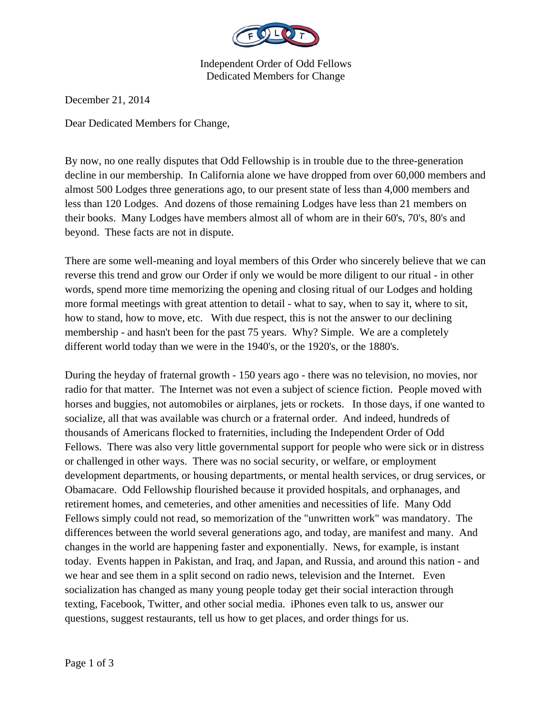

Independent Order of Odd Fellows Dedicated Members for Change

December 21, 2014

Dear Dedicated Members for Change,

By now, no one really disputes that Odd Fellowship is in trouble due to the three-generation decline in our membership. In California alone we have dropped from over 60,000 members and almost 500 Lodges three generations ago, to our present state of less than 4,000 members and less than 120 Lodges. And dozens of those remaining Lodges have less than 21 members on their books. Many Lodges have members almost all of whom are in their 60's, 70's, 80's and beyond. These facts are not in dispute.

There are some well-meaning and loyal members of this Order who sincerely believe that we can reverse this trend and grow our Order if only we would be more diligent to our ritual - in other words, spend more time memorizing the opening and closing ritual of our Lodges and holding more formal meetings with great attention to detail - what to say, when to say it, where to sit, how to stand, how to move, etc. With due respect, this is not the answer to our declining membership - and hasn't been for the past 75 years. Why? Simple. We are a completely different world today than we were in the 1940's, or the 1920's, or the 1880's.

During the heyday of fraternal growth - 150 years ago - there was no television, no movies, nor radio for that matter. The Internet was not even a subject of science fiction. People moved with horses and buggies, not automobiles or airplanes, jets or rockets. In those days, if one wanted to socialize, all that was available was church or a fraternal order. And indeed, hundreds of thousands of Americans flocked to fraternities, including the Independent Order of Odd Fellows. There was also very little governmental support for people who were sick or in distress or challenged in other ways. There was no social security, or welfare, or employment development departments, or housing departments, or mental health services, or drug services, or Obamacare. Odd Fellowship flourished because it provided hospitals, and orphanages, and retirement homes, and cemeteries, and other amenities and necessities of life. Many Odd Fellows simply could not read, so memorization of the "unwritten work" was mandatory. The differences between the world several generations ago, and today, are manifest and many. And changes in the world are happening faster and exponentially. News, for example, is instant today. Events happen in Pakistan, and Iraq, and Japan, and Russia, and around this nation - and we hear and see them in a split second on radio news, television and the Internet. Even socialization has changed as many young people today get their social interaction through texting, Facebook, Twitter, and other social media. iPhones even talk to us, answer our questions, suggest restaurants, tell us how to get places, and order things for us.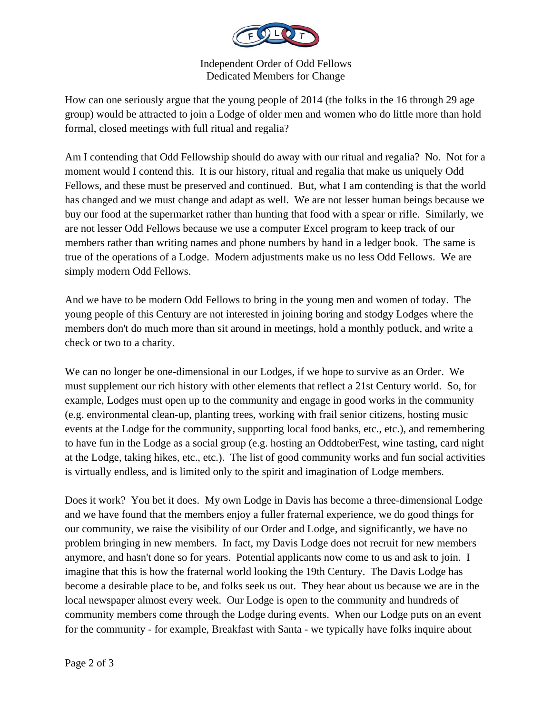

Independent Order of Odd Fellows Dedicated Members for Change

How can one seriously argue that the young people of 2014 (the folks in the 16 through 29 age group) would be attracted to join a Lodge of older men and women who do little more than hold formal, closed meetings with full ritual and regalia?

Am I contending that Odd Fellowship should do away with our ritual and regalia? No. Not for a moment would I contend this. It is our history, ritual and regalia that make us uniquely Odd Fellows, and these must be preserved and continued. But, what I am contending is that the world has changed and we must change and adapt as well. We are not lesser human beings because we buy our food at the supermarket rather than hunting that food with a spear or rifle. Similarly, we are not lesser Odd Fellows because we use a computer Excel program to keep track of our members rather than writing names and phone numbers by hand in a ledger book. The same is true of the operations of a Lodge. Modern adjustments make us no less Odd Fellows. We are simply modern Odd Fellows.

And we have to be modern Odd Fellows to bring in the young men and women of today. The young people of this Century are not interested in joining boring and stodgy Lodges where the members don't do much more than sit around in meetings, hold a monthly potluck, and write a check or two to a charity.

We can no longer be one-dimensional in our Lodges, if we hope to survive as an Order. We must supplement our rich history with other elements that reflect a 21st Century world. So, for example, Lodges must open up to the community and engage in good works in the community (e.g. environmental clean-up, planting trees, working with frail senior citizens, hosting music events at the Lodge for the community, supporting local food banks, etc., etc.), and remembering to have fun in the Lodge as a social group (e.g. hosting an OddtoberFest, wine tasting, card night at the Lodge, taking hikes, etc., etc.). The list of good community works and fun social activities is virtually endless, and is limited only to the spirit and imagination of Lodge members.

Does it work? You bet it does. My own Lodge in Davis has become a three-dimensional Lodge and we have found that the members enjoy a fuller fraternal experience, we do good things for our community, we raise the visibility of our Order and Lodge, and significantly, we have no problem bringing in new members. In fact, my Davis Lodge does not recruit for new members anymore, and hasn't done so for years. Potential applicants now come to us and ask to join. I imagine that this is how the fraternal world looking the 19th Century. The Davis Lodge has become a desirable place to be, and folks seek us out. They hear about us because we are in the local newspaper almost every week. Our Lodge is open to the community and hundreds of community members come through the Lodge during events. When our Lodge puts on an event for the community - for example, Breakfast with Santa - we typically have folks inquire about